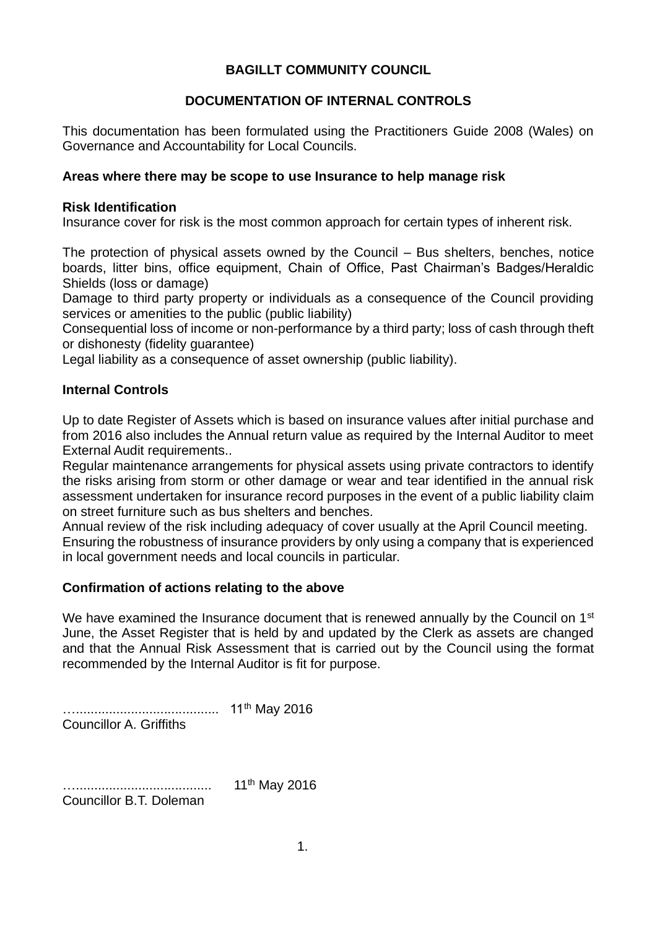# **BAGILLT COMMUNITY COUNCIL**

# **DOCUMENTATION OF INTERNAL CONTROLS**

This documentation has been formulated using the Practitioners Guide 2008 (Wales) on Governance and Accountability for Local Councils.

#### **Areas where there may be scope to use Insurance to help manage risk**

#### **Risk Identification**

Insurance cover for risk is the most common approach for certain types of inherent risk.

The protection of physical assets owned by the Council – Bus shelters, benches, notice boards, litter bins, office equipment, Chain of Office, Past Chairman's Badges/Heraldic Shields (loss or damage)

Damage to third party property or individuals as a consequence of the Council providing services or amenities to the public (public liability)

Consequential loss of income or non-performance by a third party; loss of cash through theft or dishonesty (fidelity guarantee)

Legal liability as a consequence of asset ownership (public liability).

#### **Internal Controls**

Up to date Register of Assets which is based on insurance values after initial purchase and from 2016 also includes the Annual return value as required by the Internal Auditor to meet External Audit requirements..

Regular maintenance arrangements for physical assets using private contractors to identify the risks arising from storm or other damage or wear and tear identified in the annual risk assessment undertaken for insurance record purposes in the event of a public liability claim on street furniture such as bus shelters and benches.

Annual review of the risk including adequacy of cover usually at the April Council meeting. Ensuring the robustness of insurance providers by only using a company that is experienced in local government needs and local councils in particular.

#### **Confirmation of actions relating to the above**

We have examined the Insurance document that is renewed annually by the Council on  $1<sup>st</sup>$ June, the Asset Register that is held by and updated by the Clerk as assets are changed and that the Annual Risk Assessment that is carried out by the Council using the format recommended by the Internal Auditor is fit for purpose.

……………………………………… 11<sup>th</sup> May 2016 Councillor A. Griffiths

…..................................... 11th May 2016 Councillor B.T. Doleman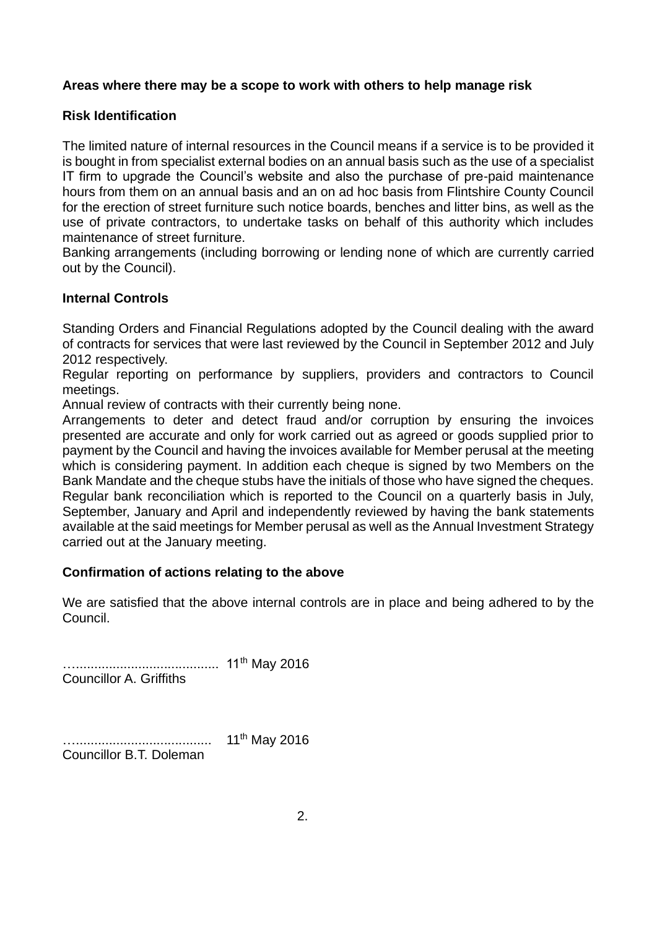# **Areas where there may be a scope to work with others to help manage risk**

## **Risk Identification**

The limited nature of internal resources in the Council means if a service is to be provided it is bought in from specialist external bodies on an annual basis such as the use of a specialist IT firm to upgrade the Council's website and also the purchase of pre-paid maintenance hours from them on an annual basis and an on ad hoc basis from Flintshire County Council for the erection of street furniture such notice boards, benches and litter bins, as well as the use of private contractors, to undertake tasks on behalf of this authority which includes maintenance of street furniture.

Banking arrangements (including borrowing or lending none of which are currently carried out by the Council).

#### **Internal Controls**

Standing Orders and Financial Regulations adopted by the Council dealing with the award of contracts for services that were last reviewed by the Council in September 2012 and July 2012 respectively.

Regular reporting on performance by suppliers, providers and contractors to Council meetings.

Annual review of contracts with their currently being none.

Arrangements to deter and detect fraud and/or corruption by ensuring the invoices presented are accurate and only for work carried out as agreed or goods supplied prior to payment by the Council and having the invoices available for Member perusal at the meeting which is considering payment. In addition each cheque is signed by two Members on the Bank Mandate and the cheque stubs have the initials of those who have signed the cheques. Regular bank reconciliation which is reported to the Council on a quarterly basis in July, September, January and April and independently reviewed by having the bank statements available at the said meetings for Member perusal as well as the Annual Investment Strategy carried out at the January meeting.

#### **Confirmation of actions relating to the above**

We are satisfied that the above internal controls are in place and being adhered to by the Council.

…………………………………… 11<sup>th</sup> May 2016 Councillor A. Griffiths

…………………………………… 11<sup>th</sup> May 2016 Councillor B.T. Doleman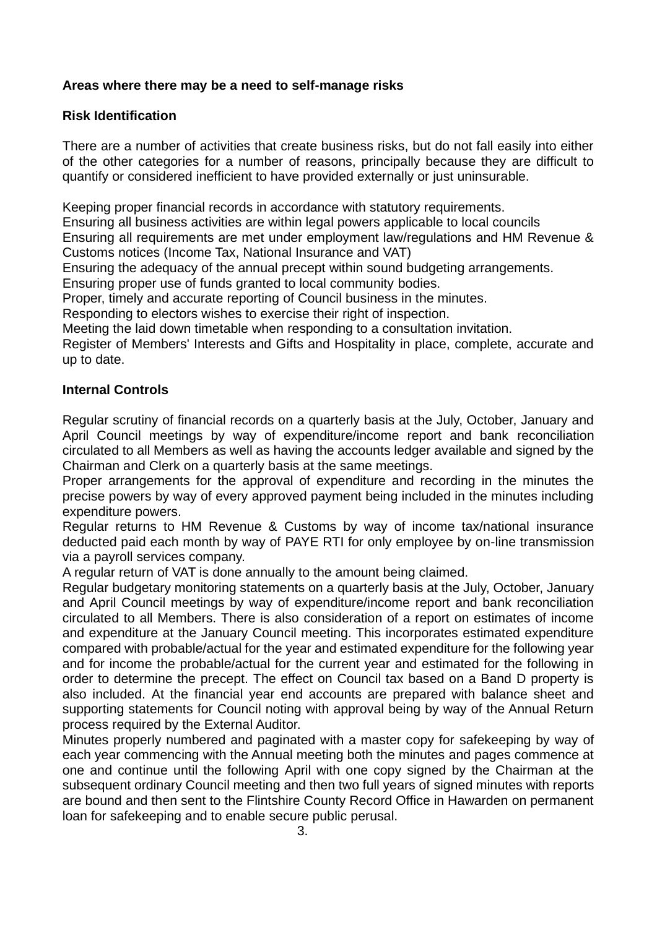# **Areas where there may be a need to self-manage risks**

# **Risk Identification**

There are a number of activities that create business risks, but do not fall easily into either of the other categories for a number of reasons, principally because they are difficult to quantify or considered inefficient to have provided externally or just uninsurable.

Keeping proper financial records in accordance with statutory requirements.

Ensuring all business activities are within legal powers applicable to local councils

Ensuring all requirements are met under employment law/regulations and HM Revenue & Customs notices (Income Tax, National Insurance and VAT)

Ensuring the adequacy of the annual precept within sound budgeting arrangements.

Ensuring proper use of funds granted to local community bodies.

Proper, timely and accurate reporting of Council business in the minutes.

Responding to electors wishes to exercise their right of inspection.

Meeting the laid down timetable when responding to a consultation invitation.

Register of Members' Interests and Gifts and Hospitality in place, complete, accurate and up to date.

#### **Internal Controls**

Regular scrutiny of financial records on a quarterly basis at the July, October, January and April Council meetings by way of expenditure/income report and bank reconciliation circulated to all Members as well as having the accounts ledger available and signed by the Chairman and Clerk on a quarterly basis at the same meetings.

Proper arrangements for the approval of expenditure and recording in the minutes the precise powers by way of every approved payment being included in the minutes including expenditure powers.

Regular returns to HM Revenue & Customs by way of income tax/national insurance deducted paid each month by way of PAYE RTI for only employee by on-line transmission via a payroll services company.

A regular return of VAT is done annually to the amount being claimed.

Regular budgetary monitoring statements on a quarterly basis at the July, October, January and April Council meetings by way of expenditure/income report and bank reconciliation circulated to all Members. There is also consideration of a report on estimates of income and expenditure at the January Council meeting. This incorporates estimated expenditure compared with probable/actual for the year and estimated expenditure for the following year and for income the probable/actual for the current year and estimated for the following in order to determine the precept. The effect on Council tax based on a Band D property is also included. At the financial year end accounts are prepared with balance sheet and supporting statements for Council noting with approval being by way of the Annual Return process required by the External Auditor.

Minutes properly numbered and paginated with a master copy for safekeeping by way of each year commencing with the Annual meeting both the minutes and pages commence at one and continue until the following April with one copy signed by the Chairman at the subsequent ordinary Council meeting and then two full years of signed minutes with reports are bound and then sent to the Flintshire County Record Office in Hawarden on permanent loan for safekeeping and to enable secure public perusal.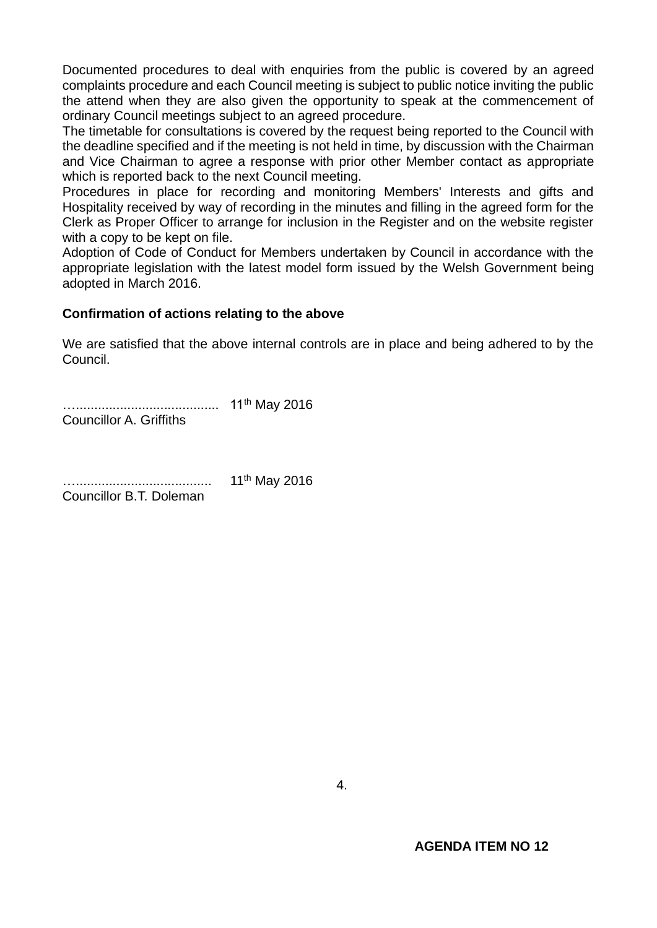Documented procedures to deal with enquiries from the public is covered by an agreed complaints procedure and each Council meeting is subject to public notice inviting the public the attend when they are also given the opportunity to speak at the commencement of ordinary Council meetings subject to an agreed procedure.

The timetable for consultations is covered by the request being reported to the Council with the deadline specified and if the meeting is not held in time, by discussion with the Chairman and Vice Chairman to agree a response with prior other Member contact as appropriate which is reported back to the next Council meeting.

Procedures in place for recording and monitoring Members' Interests and gifts and Hospitality received by way of recording in the minutes and filling in the agreed form for the Clerk as Proper Officer to arrange for inclusion in the Register and on the website register with a copy to be kept on file.

Adoption of Code of Conduct for Members undertaken by Council in accordance with the appropriate legislation with the latest model form issued by the Welsh Government being adopted in March 2016.

#### **Confirmation of actions relating to the above**

We are satisfied that the above internal controls are in place and being adhered to by the Council.

…....................................... 11th May 2016 Councillor A. Griffiths

…..................................... 11th May 2016 Councillor B.T. Doleman